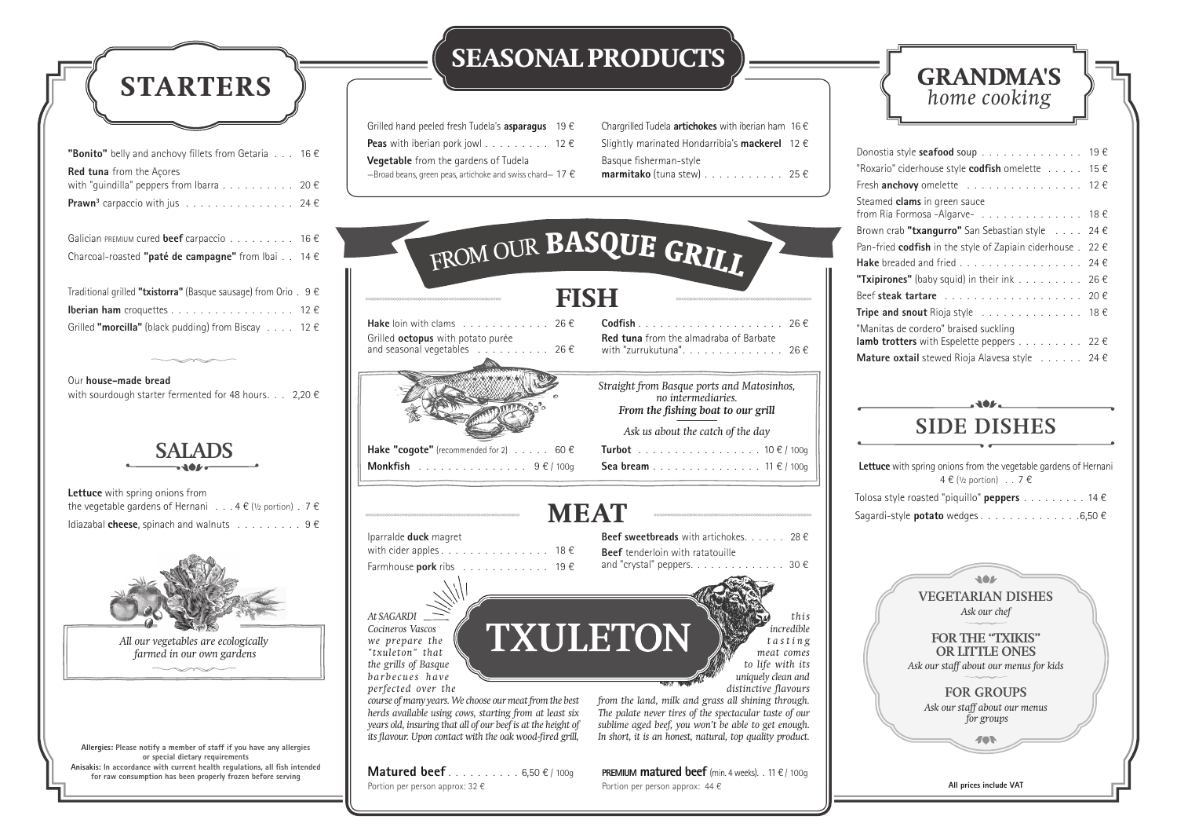Iparralde **duck** magret with cider apples . . . . . . . . . . . . . . . 18 $\epsilon$ Farmhouse **pork** ribs . . . . . . . . . . . . 19 €

**Beef sweetbreads** with artichokes. . . . . . 28 € **Beef** tenderloin with ratatouille and "crystal" peppers.  $\dots \dots \dots \dots \dots$  30  $\in$ 

*At SAGARDI Cocineros Vascos we prepare the "txuleton" that the grills of Basque b a r b e c u e s h a v e perfected over the* 

*course of many years. We choose our meat from the best herds available using cows, starting from at least six years old, insuring that all of our beef is at the height of its flavour. Upon contact with the oak wood-fired grill,* 

**Matured beef** . . . . . . . . . . 6,50 € / 100g Portion per person approx:  $32 \in$ 

**PREMIUM matured beef** (min. 4 weeks). . 11  $\epsilon$  / 100g Portion per person approx:  $44 \in$ 

*this incredible t a s t i n g meat comes to life with its uniquely clean and distinctive flavours* 

*from the land, milk and grass all shining through. The palate never tires of the spectacular taste of our sublime aged beef, you won't be able to get enough. In short, it is an honest, natural, top quality product.*

| Donostia style <b>seafood</b> soup 19 $\epsilon$                                 |  |
|----------------------------------------------------------------------------------|--|
| "Roxario" ciderhouse style codfish omelette $\dots$ 15 $\epsilon$                |  |
| Fresh <b>anchovy</b> omelette $\ldots \ldots \ldots \ldots \ldots \ldots 12 \in$ |  |
| Steamed <b>clams</b> in green sauce<br>from Ría Formosa -Algarve- 18 $\epsilon$  |  |
| Brown crab "txangurro" San Sebastian style $\ldots$ 24 $\epsilon$                |  |
| Pan-fried <b>codfish</b> in the style of Zapiain ciderhouse . 22 $\epsilon$      |  |
| Hake breaded and fried 24 $\epsilon$                                             |  |
| <b>"Txipirones"</b> (baby squid) in their ink 26 $\epsilon$                      |  |
|                                                                                  |  |
| <b>Tripe and snout</b> Rioja style $\ldots \ldots \ldots \ldots \ldots$ 18 $\in$ |  |
| "Manitas de cordero" braised suckling                                            |  |
| <b>lamb trotters</b> with Espelette peppers 22 $\epsilon$                        |  |
| Mature oxtail stewed Rioja Alavesa style $\ldots \ldots$ 24 €                    |  |

Chargrilled Tudela **artichokes** with iberian ham 16 € Slightly marinated Hondarribia's **mackerel** 12 € Basque fisherman-style **marmitako** (tuna stew) . . . . . . . . . . . 25 €





| <b>Lettuce</b> with spring onions from the vegetable gardens of Hernani<br>$4 \in (1/2 \text{ portion}) \dots 7 \in$ |
|----------------------------------------------------------------------------------------------------------------------|
| Tolosa style roasted "piquillo" <b>peppers</b> 14 $\epsilon$                                                         |
| Sagardi-style <b>potato</b> wedges 6,50 $\epsilon$                                                                   |

## **SIDE DISHES**



| <b>"Bonito"</b> belly and anchovy fillets from Getaria $\dots$ 16 $\in$                    |
|--------------------------------------------------------------------------------------------|
| <b>Red tuna</b> from the Acores<br>with "guindilla" peppers from Ibarra 20 $\epsilon$      |
|                                                                                            |
| <b>Prawn</b> <sup>3</sup> carpaccio with jus $\ldots \ldots \ldots \ldots \ldots$ 24 $\in$ |
|                                                                                            |
| Galician PREMIUM cured beef carpaccio 16 $\epsilon$                                        |
| Charcoal-roasted "paté de campagne" from Ibai 14 $\epsilon$                                |
|                                                                                            |
| Traditional grilled "txistorra" (Basque sausage) from Orio $. 9 \in$                       |
| <b>Iberian ham</b> croquettes 12 $\epsilon$                                                |
| Grilled <b>"morcilla"</b> (black pudding) from Biscay $\ldots$ 12 $\in$                    |

#### Our **house-made bread**

with sourdough starter fermented for 48 hours. . . 2,20  $\epsilon$ 

**Lettuce** with spring onions from the vegetable gardens of Hernani . . . 4  $\in$  (1/2 portion) . 7  $\in$ Idiazabal **cheese**, spinach and walnuts . . . . . . . . . 9 €



| Grilled hand peeled fresh Tudela's <b>asparagus</b> 19 $\epsilon$   |  |
|---------------------------------------------------------------------|--|
|                                                                     |  |
| <b>Vegetable</b> from the gardens of Tudela                         |  |
| -Broad beans, green peas, artichoke and swiss chard - 17 $\epsilon$ |  |

### **MEAT**

TXULETON

#### **SEASONAL PRODUCTS**

**Allergies: Please notify a member of staff if you have any allergies or special dietary requirements Anisakis: In accordance with current health regulations, all fish intended for raw consumption has been properly frozen before serving**

*All our vegetables are ecologically farmed in our own gardens*

#### **SALADS**

## **STARTERS**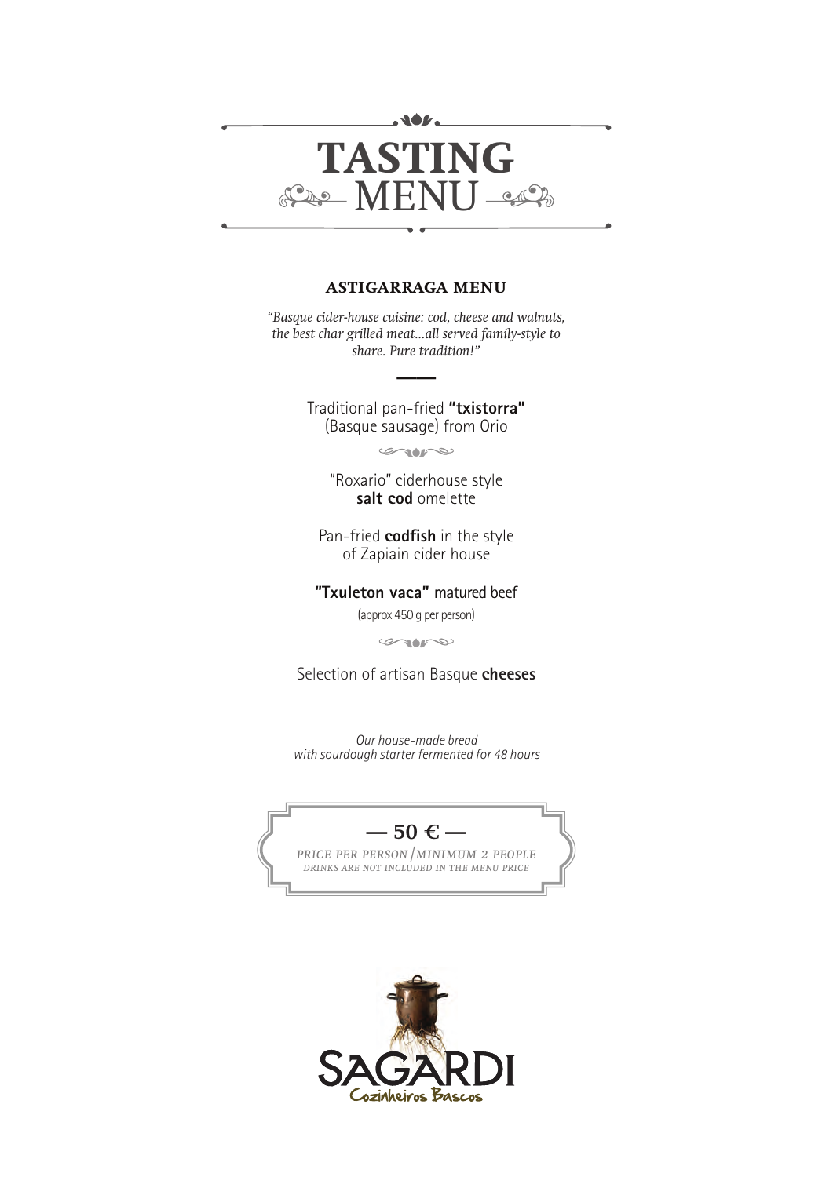

#### **astigarraga menu**

*"Basque cider-house cuisine: cod, cheese and walnuts, the best char grilled meat...all served family-style to share. Pure tradition!"*

> Traditional pan-fried **"txistorra"** (Basque sausage) from Orio

 **——**

 $\infty$ 

"Roxario" ciderhouse style **salt cod** omelette

Pan-fried **codfish** in the style of Zapiain cider house

**"Txuleton vaca"** matured beef (approx 450 g per person)

 $\infty$ 

Selection of artisan Basque **cheeses**

*Our house-made bread with sourdough starter fermented for 48 hours*